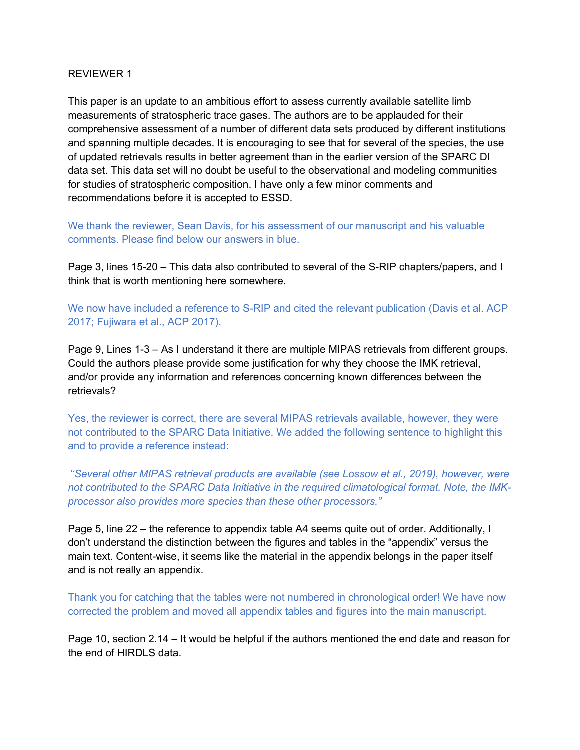#### REVIEWER 1

This paper is an update to an ambitious effort to assess currently available satellite limb measurements of stratospheric trace gases. The authors are to be applauded for their comprehensive assessment of a number of different data sets produced by different institutions and spanning multiple decades. It is encouraging to see that for several of the species, the use of updated retrievals results in better agreement than in the earlier version of the SPARC DI data set. This data set will no doubt be useful to the observational and modeling communities for studies of stratospheric composition. I have only a few minor comments and recommendations before it is accepted to ESSD.

We thank the reviewer, Sean Davis, for his assessment of our manuscript and his valuable comments. Please find below our answers in blue.

Page 3, lines 15-20 – This data also contributed to several of the S-RIP chapters/papers, and I think that is worth mentioning here somewhere.

We now have included a reference to S-RIP and cited the relevant publication (Davis et al. ACP 2017; Fujiwara et al., ACP 2017).

Page 9, Lines 1-3 – As I understand it there are multiple MIPAS retrievals from different groups. Could the authors please provide some justification for why they choose the IMK retrieval, and/or provide any information and references concerning known differences between the retrievals?

Yes, the reviewer is correct, there are several MIPAS retrievals available, however, they were not contributed to the SPARC Data Initiative. We added the following sentence to highlight this and to provide a reference instead:

"*Several other MIPAS retrieval products are available (see Lossow et al., 2019), however, were not contributed to the SPARC Data Initiative in the required climatological format. Note, the IMKprocessor also provides more species than these other processors."*

Page 5, line 22 – the reference to appendix table A4 seems quite out of order. Additionally, I don't understand the distinction between the figures and tables in the "appendix" versus the main text. Content-wise, it seems like the material in the appendix belongs in the paper itself and is not really an appendix.

Thank you for catching that the tables were not numbered in chronological order! We have now corrected the problem and moved all appendix tables and figures into the main manuscript.

Page 10, section 2.14 – It would be helpful if the authors mentioned the end date and reason for the end of HIRDLS data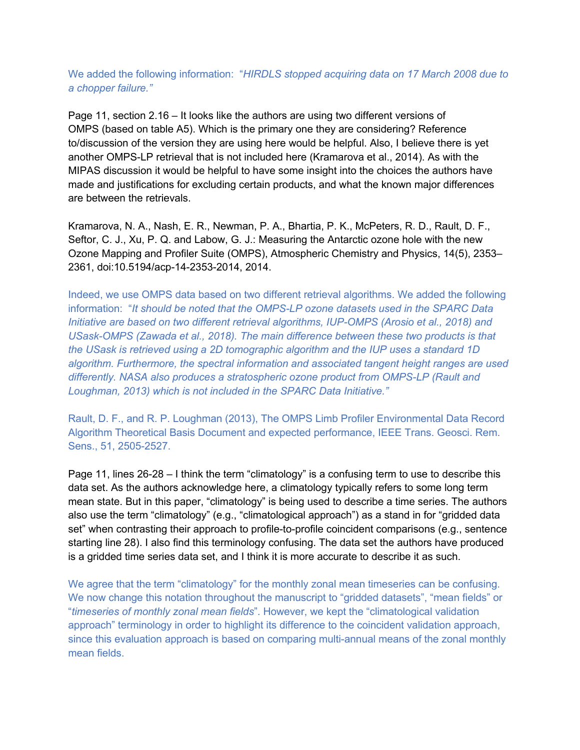We added the following information: "*HIRDLS stopped acquiring data on 17 March 2008 due to a chopper failure."*

Page 11, section 2.16 – It looks like the authors are using two different versions of OMPS (based on table A5). Which is the primary one they are considering? Reference to/discussion of the version they are using here would be helpful. Also, I believe there is yet another OMPS-LP retrieval that is not included here (Kramarova et al., 2014). As with the MIPAS discussion it would be helpful to have some insight into the choices the authors have made and justifications for excluding certain products, and what the known major differences are between the retrievals.

Kramarova, N. A., Nash, E. R., Newman, P. A., Bhartia, P. K., McPeters, R. D., Rault, D. F., Seftor, C. J., Xu, P. Q. and Labow, G. J.: Measuring the Antarctic ozone hole with the new Ozone Mapping and Profiler Suite (OMPS), Atmospheric Chemistry and Physics, 14(5), 2353– 2361, doi:10.5194/acp-14-2353-2014, 2014.

Indeed, we use OMPS data based on two different retrieval algorithms. We added the following information: "*It should be noted that the OMPS-LP ozone datasets used in the SPARC Data Initiative are based on two different retrieval algorithms, IUP-OMPS (Arosio et al., 2018) and USask-OMPS (Zawada et al., 2018). The main difference between these two products is that the USask is retrieved using a 2D tomographic algorithm and the IUP uses a standard 1D algorithm. Furthermore, the spectral information and associated tangent height ranges are used differently. NASA also produces a stratospheric ozone product from OMPS-LP (Rault and Loughman, 2013) which is not included in the SPARC Data Initiative."* 

Rault, D. F., and R. P. Loughman (2013), The OMPS Limb Profiler Environmental Data Record Algorithm Theoretical Basis Document and expected performance, IEEE Trans. Geosci. Rem. Sens., 51, 2505-2527.

Page 11, lines 26-28 – I think the term "climatology" is a confusing term to use to describe this data set. As the authors acknowledge here, a climatology typically refers to some long term mean state. But in this paper, "climatology" is being used to describe a time series. The authors also use the term "climatology" (e.g., "climatological approach") as a stand in for "gridded data set" when contrasting their approach to profile-to-profile coincident comparisons (e.g., sentence starting line 28). I also find this terminology confusing. The data set the authors have produced is a gridded time series data set, and I think it is more accurate to describe it as such.

We agree that the term "climatology" for the monthly zonal mean timeseries can be confusing. We now change this notation throughout the manuscript to "gridded datasets", "mean fields" or "*timeseries of monthly zonal mean fields*". However, we kept the "climatological validation approach" terminology in order to highlight its difference to the coincident validation approach, since this evaluation approach is based on comparing multi-annual means of the zonal monthly mean fields.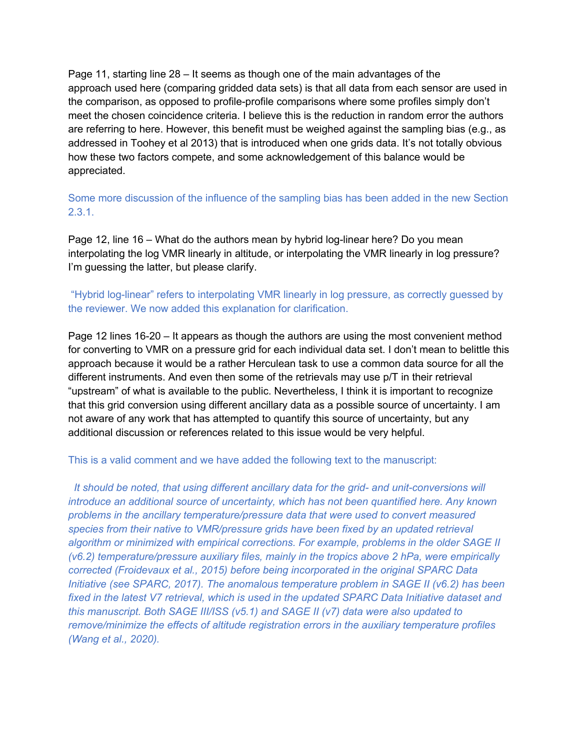Page 11, starting line 28 – It seems as though one of the main advantages of the approach used here (comparing gridded data sets) is that all data from each sensor are used in the comparison, as opposed to profile-profile comparisons where some profiles simply don't meet the chosen coincidence criteria. I believe this is the reduction in random error the authors are referring to here. However, this benefit must be weighed against the sampling bias (e.g., as addressed in Toohey et al 2013) that is introduced when one grids data. It's not totally obvious how these two factors compete, and some acknowledgement of this balance would be appreciated.

Some more discussion of the influence of the sampling bias has been added in the new Section 2.3.1.

Page 12, line 16 – What do the authors mean by hybrid log-linear here? Do you mean interpolating the log VMR linearly in altitude, or interpolating the VMR linearly in log pressure? I'm guessing the latter, but please clarify.

# "Hybrid log-linear" refers to interpolating VMR linearly in log pressure, as correctly guessed by the reviewer. We now added this explanation for clarification.

Page 12 lines 16-20 – It appears as though the authors are using the most convenient method for converting to VMR on a pressure grid for each individual data set. I don't mean to belittle this approach because it would be a rather Herculean task to use a common data source for all the different instruments. And even then some of the retrievals may use p/T in their retrieval "upstream" of what is available to the public. Nevertheless, I think it is important to recognize that this grid conversion using different ancillary data as a possible source of uncertainty. I am not aware of any work that has attempted to quantify this source of uncertainty, but any additional discussion or references related to this issue would be very helpful.

#### This is a valid comment and we have added the following text to the manuscript:

*It should be noted, that using different ancillary data for the grid- and unit-conversions will introduce an additional source of uncertainty, which has not been quantified here. Any known problems in the ancillary temperature/pressure data that were used to convert measured species from their native to VMR/pressure grids have been fixed by an updated retrieval algorithm or minimized with empirical corrections. For example, problems in the older SAGE II (v6.2) temperature/pressure auxiliary files, mainly in the tropics above 2 hPa, were empirically corrected (Froidevaux et al., 2015) before being incorporated in the original SPARC Data Initiative (see SPARC, 2017). The anomalous temperature problem in SAGE II (v6.2) has been fixed in the latest V7 retrieval, which is used in the updated SPARC Data Initiative dataset and this manuscript. Both SAGE III/ISS (v5.1) and SAGE II (v7) data were also updated to remove/minimize the effects of altitude registration errors in the auxiliary temperature profiles (Wang et al., 2020).*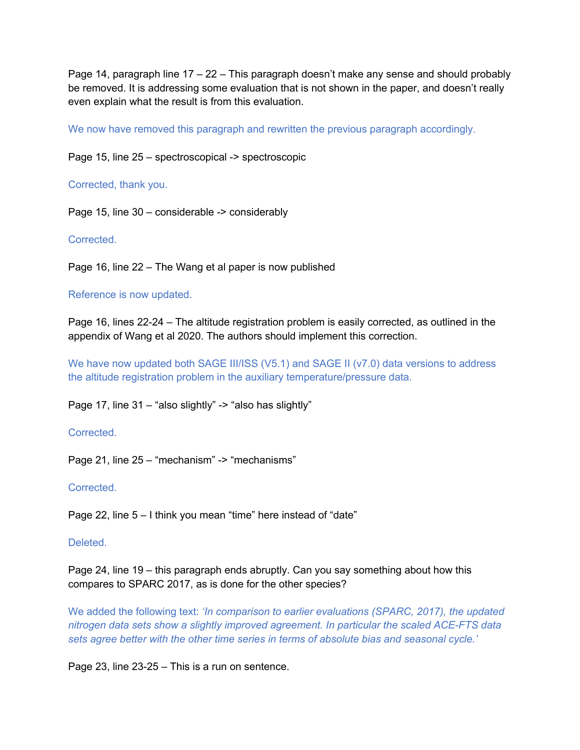Page 14, paragraph line  $17 - 22 -$  This paragraph doesn't make any sense and should probably be removed. It is addressing some evaluation that is not shown in the paper, and doesn't really even explain what the result is from this evaluation.

We now have removed this paragraph and rewritten the previous paragraph accordingly.

Page 15, line 25 – spectroscopical -> spectroscopic

Corrected, thank you.

Page 15, line 30 – considerable -> considerably

**Corrected** 

Page 16, line 22 – The Wang et al paper is now published

### Reference is now updated.

Page 16, lines 22-24 – The altitude registration problem is easily corrected, as outlined in the appendix of Wang et al 2020. The authors should implement this correction.

We have now updated both SAGE III/ISS (V5.1) and SAGE II (v7.0) data versions to address the altitude registration problem in the auxiliary temperature/pressure data.

Page 17, line 31 – "also slightly" -> "also has slightly"

Corrected.

Page 21, line 25 – "mechanism" -> "mechanisms"

#### Corrected.

Page 22, line 5 – I think you mean "time" here instead of "date"

#### Deleted.

Page 24, line 19 – this paragraph ends abruptly. Can you say something about how this compares to SPARC 2017, as is done for the other species?

We added the following text: *'In comparison to earlier evaluations (SPARC, 2017), the updated nitrogen data sets show a slightly improved agreement. In particular the scaled ACE-FTS data sets agree better with the other time series in terms of absolute bias and seasonal cycle.'* 

Page 23, line 23-25 – This is a run on sentence.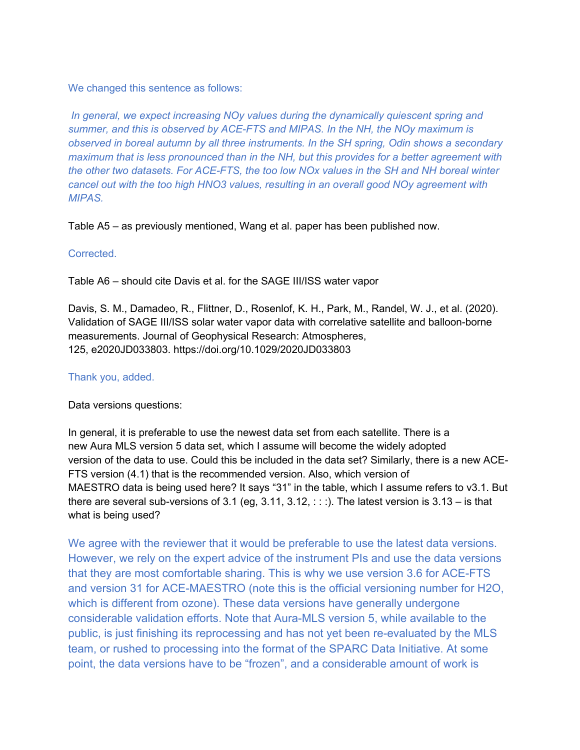We changed this sentence as follows:

*In general, we expect increasing NOy values during the dynamically quiescent spring and summer, and this is observed by ACE-FTS and MIPAS. In the NH, the NOy maximum is observed in boreal autumn by all three instruments. In the SH spring, Odin shows a secondary maximum that is less pronounced than in the NH, but this provides for a better agreement with the other two datasets. For ACE-FTS, the too low NOx values in the SH and NH boreal winter cancel out with the too high HNO3 values, resulting in an overall good NOy agreement with MIPAS.*

Table A5 – as previously mentioned, Wang et al. paper has been published now.

### Corrected.

Table A6 – should cite Davis et al. for the SAGE III/ISS water vapor

Davis, S. M., Damadeo, R., Flittner, D., Rosenlof, K. H., Park, M., Randel, W. J., et al. (2020). Validation of SAGE III/ISS solar water vapor data with correlative satellite and balloon-borne measurements. Journal of Geophysical Research: Atmospheres, 125, e2020JD033803. https://doi.org/10.1029/2020JD033803

### Thank you, added.

Data versions questions:

In general, it is preferable to use the newest data set from each satellite. There is a new Aura MLS version 5 data set, which I assume will become the widely adopted version of the data to use. Could this be included in the data set? Similarly, there is a new ACE-FTS version (4.1) that is the recommended version. Also, which version of MAESTRO data is being used here? It says "31" in the table, which I assume refers to v3.1. But there are several sub-versions of 3.1 (eq, 3.11, 3.12,  $\therefore$  ). The latest version is 3.13 – is that what is being used?

We agree with the reviewer that it would be preferable to use the latest data versions. However, we rely on the expert advice of the instrument PIs and use the data versions that they are most comfortable sharing. This is why we use version 3.6 for ACE-FTS and version 31 for ACE-MAESTRO (note this is the official versioning number for H2O, which is different from ozone). These data versions have generally undergone considerable validation efforts. Note that Aura-MLS version 5, while available to the public, is just finishing its reprocessing and has not yet been re-evaluated by the MLS team, or rushed to processing into the format of the SPARC Data Initiative. At some point, the data versions have to be "frozen", and a considerable amount of work is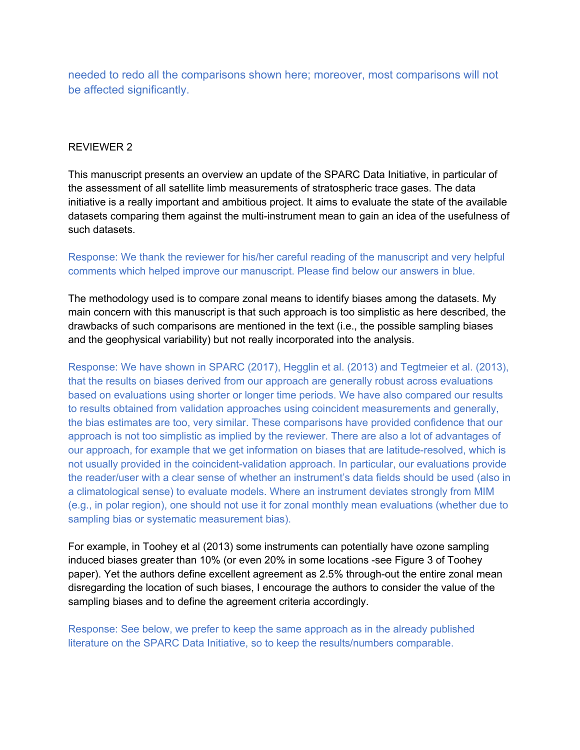needed to redo all the comparisons shown here; moreover, most comparisons will not be affected significantly.

# REVIEWER 2

This manuscript presents an overview an update of the SPARC Data Initiative, in particular of the assessment of all satellite limb measurements of stratospheric trace gases. The data initiative is a really important and ambitious project. It aims to evaluate the state of the available datasets comparing them against the multi-instrument mean to gain an idea of the usefulness of such datasets.

# Response: We thank the reviewer for his/her careful reading of the manuscript and very helpful comments which helped improve our manuscript. Please find below our answers in blue.

The methodology used is to compare zonal means to identify biases among the datasets. My main concern with this manuscript is that such approach is too simplistic as here described, the drawbacks of such comparisons are mentioned in the text (i.e., the possible sampling biases and the geophysical variability) but not really incorporated into the analysis.

Response: We have shown in SPARC (2017), Hegglin et al. (2013) and Tegtmeier et al. (2013), that the results on biases derived from our approach are generally robust across evaluations based on evaluations using shorter or longer time periods. We have also compared our results to results obtained from validation approaches using coincident measurements and generally, the bias estimates are too, very similar. These comparisons have provided confidence that our approach is not too simplistic as implied by the reviewer. There are also a lot of advantages of our approach, for example that we get information on biases that are latitude-resolved, which is not usually provided in the coincident-validation approach. In particular, our evaluations provide the reader/user with a clear sense of whether an instrument's data fields should be used (also in a climatological sense) to evaluate models. Where an instrument deviates strongly from MIM (e.g., in polar region), one should not use it for zonal monthly mean evaluations (whether due to sampling bias or systematic measurement bias).

For example, in Toohey et al (2013) some instruments can potentially have ozone sampling induced biases greater than 10% (or even 20% in some locations -see Figure 3 of Toohey paper). Yet the authors define excellent agreement as 2.5% through-out the entire zonal mean disregarding the location of such biases, I encourage the authors to consider the value of the sampling biases and to define the agreement criteria accordingly.

Response: See below, we prefer to keep the same approach as in the already published literature on the SPARC Data Initiative, so to keep the results/numbers comparable.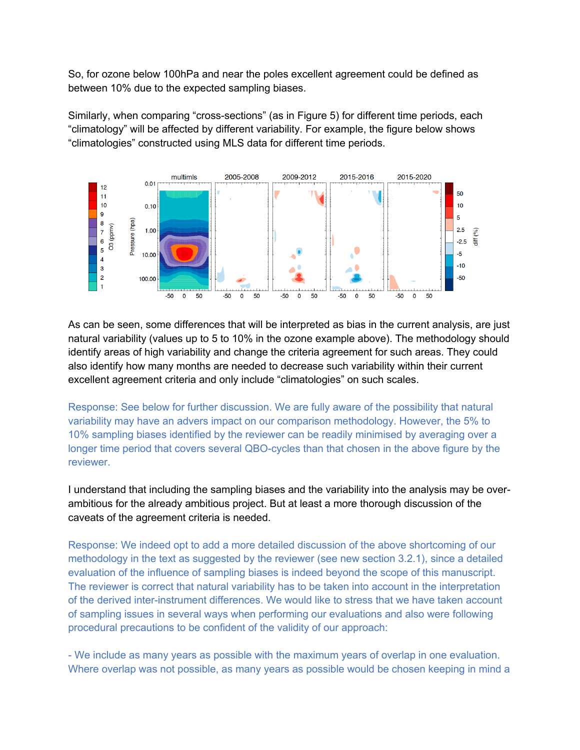So, for ozone below 100hPa and near the poles excellent agreement could be defined as between 10% due to the expected sampling biases.

Similarly, when comparing "cross-sections" (as in Figure 5) for different time periods, each "climatology" will be affected by different variability. For example, the figure below shows "climatologies" constructed using MLS data for different time periods.



As can be seen, some differences that will be interpreted as bias in the current analysis, are just natural variability (values up to 5 to 10% in the ozone example above). The methodology should identify areas of high variability and change the criteria agreement for such areas. They could also identify how many months are needed to decrease such variability within their current excellent agreement criteria and only include "climatologies" on such scales.

Response: See below for further discussion. We are fully aware of the possibility that natural variability may have an advers impact on our comparison methodology. However, the 5% to 10% sampling biases identified by the reviewer can be readily minimised by averaging over a longer time period that covers several QBO-cycles than that chosen in the above figure by the reviewer.

I understand that including the sampling biases and the variability into the analysis may be overambitious for the already ambitious project. But at least a more thorough discussion of the caveats of the agreement criteria is needed.

Response: We indeed opt to add a more detailed discussion of the above shortcoming of our methodology in the text as suggested by the reviewer (see new section 3.2.1), since a detailed evaluation of the influence of sampling biases is indeed beyond the scope of this manuscript. The reviewer is correct that natural variability has to be taken into account in the interpretation of the derived inter-instrument differences. We would like to stress that we have taken account of sampling issues in several ways when performing our evaluations and also were following procedural precautions to be confident of the validity of our approach:

- We include as many years as possible with the maximum years of overlap in one evaluation. Where overlap was not possible, as many years as possible would be chosen keeping in mind a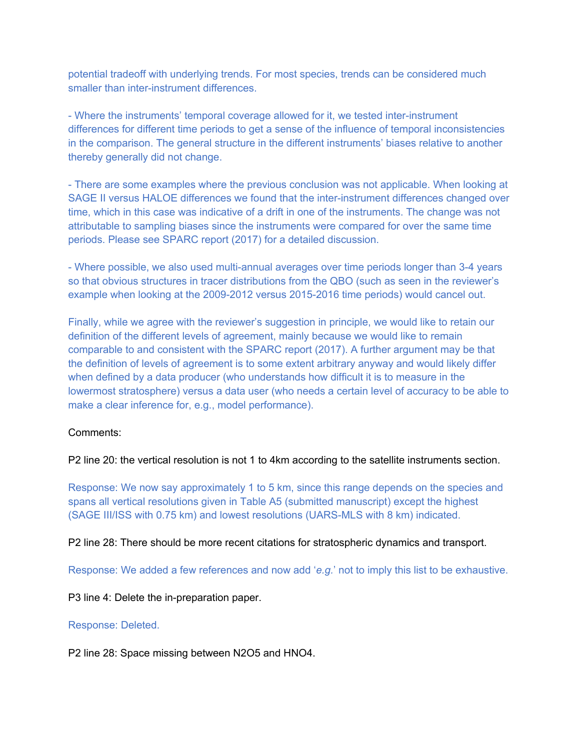potential tradeoff with underlying trends. For most species, trends can be considered much smaller than inter-instrument differences.

- Where the instruments' temporal coverage allowed for it, we tested inter-instrument differences for different time periods to get a sense of the influence of temporal inconsistencies in the comparison. The general structure in the different instruments' biases relative to another thereby generally did not change.

- There are some examples where the previous conclusion was not applicable. When looking at SAGE II versus HALOE differences we found that the inter-instrument differences changed over time, which in this case was indicative of a drift in one of the instruments. The change was not attributable to sampling biases since the instruments were compared for over the same time periods. Please see SPARC report (2017) for a detailed discussion.

- Where possible, we also used multi-annual averages over time periods longer than 3-4 years so that obvious structures in tracer distributions from the QBO (such as seen in the reviewer's example when looking at the 2009-2012 versus 2015-2016 time periods) would cancel out.

Finally, while we agree with the reviewer's suggestion in principle, we would like to retain our definition of the different levels of agreement, mainly because we would like to remain comparable to and consistent with the SPARC report (2017). A further argument may be that the definition of levels of agreement is to some extent arbitrary anyway and would likely differ when defined by a data producer (who understands how difficult it is to measure in the lowermost stratosphere) versus a data user (who needs a certain level of accuracy to be able to make a clear inference for, e.g., model performance).

#### Comments:

P2 line 20: the vertical resolution is not 1 to 4km according to the satellite instruments section.

Response: We now say approximately 1 to 5 km, since this range depends on the species and spans all vertical resolutions given in Table A5 (submitted manuscript) except the highest (SAGE III/ISS with 0.75 km) and lowest resolutions (UARS-MLS with 8 km) indicated.

P2 line 28: There should be more recent citations for stratospheric dynamics and transport.

Response: We added a few references and now add '*e.g.*' not to imply this list to be exhaustive.

P3 line 4: Delete the in-preparation paper.

#### Response: Deleted.

P2 line 28: Space missing between N2O5 and HNO4.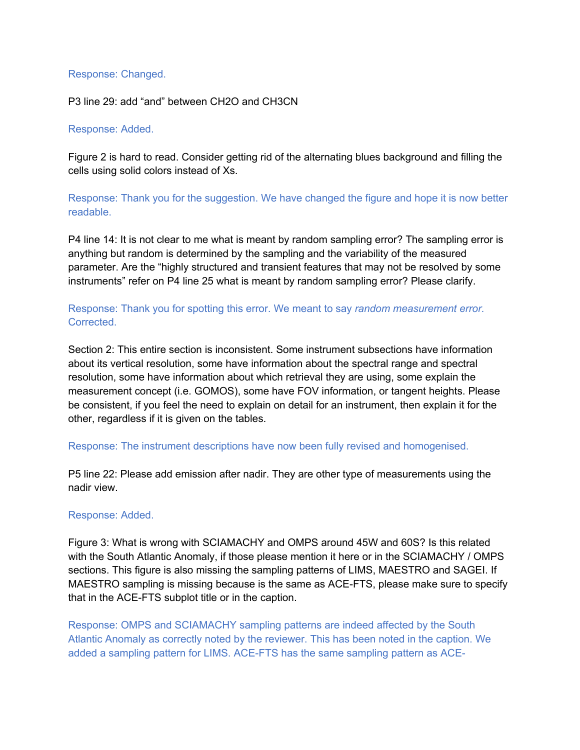### Response: Changed.

P3 line 29: add "and" between CH2O and CH3CN

#### Response: Added.

Figure 2 is hard to read. Consider getting rid of the alternating blues background and filling the cells using solid colors instead of Xs.

Response: Thank you for the suggestion. We have changed the figure and hope it is now better readable.

P4 line 14: It is not clear to me what is meant by random sampling error? The sampling error is anything but random is determined by the sampling and the variability of the measured parameter. Are the "highly structured and transient features that may not be resolved by some instruments" refer on P4 line 25 what is meant by random sampling error? Please clarify.

# Response: Thank you for spotting this error. We meant to say *random measurement error.*  Corrected.

Section 2: This entire section is inconsistent. Some instrument subsections have information about its vertical resolution, some have information about the spectral range and spectral resolution, some have information about which retrieval they are using, some explain the measurement concept (i.e. GOMOS), some have FOV information, or tangent heights. Please be consistent, if you feel the need to explain on detail for an instrument, then explain it for the other, regardless if it is given on the tables.

# Response: The instrument descriptions have now been fully revised and homogenised.

P5 line 22: Please add emission after nadir. They are other type of measurements using the nadir view.

# Response: Added.

Figure 3: What is wrong with SCIAMACHY and OMPS around 45W and 60S? Is this related with the South Atlantic Anomaly, if those please mention it here or in the SCIAMACHY / OMPS sections. This figure is also missing the sampling patterns of LIMS, MAESTRO and SAGEI. If MAESTRO sampling is missing because is the same as ACE-FTS, please make sure to specify that in the ACE-FTS subplot title or in the caption.

Response: OMPS and SCIAMACHY sampling patterns are indeed affected by the South Atlantic Anomaly as correctly noted by the reviewer. This has been noted in the caption. We added a sampling pattern for LIMS. ACE-FTS has the same sampling pattern as ACE-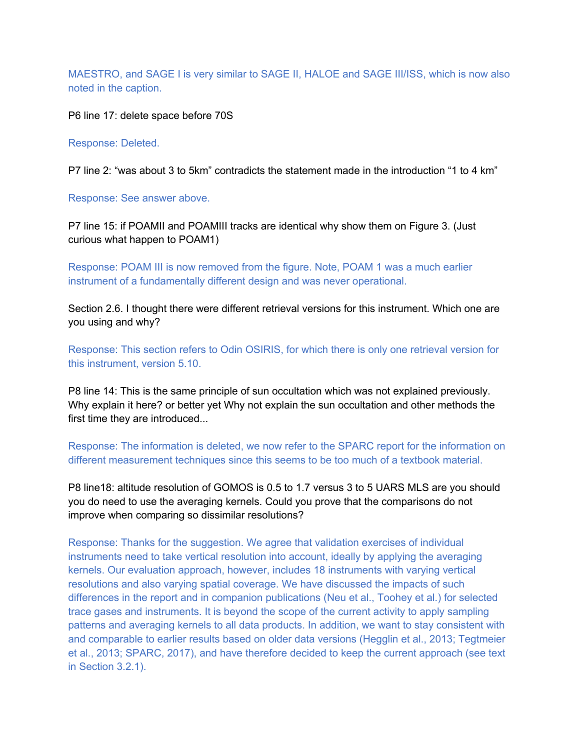MAESTRO, and SAGE I is very similar to SAGE II, HALOE and SAGE III/ISS, which is now also noted in the caption.

P6 line 17: delete space before 70S

Response: Deleted.

P7 line 2: "was about 3 to 5km" contradicts the statement made in the introduction "1 to 4 km"

Response: See answer above.

P7 line 15: if POAMII and POAMIII tracks are identical why show them on Figure 3. (Just curious what happen to POAM1)

Response: POAM III is now removed from the figure. Note, POAM 1 was a much earlier instrument of a fundamentally different design and was never operational.

Section 2.6. I thought there were different retrieval versions for this instrument. Which one are you using and why?

Response: This section refers to Odin OSIRIS, for which there is only one retrieval version for this instrument, version 5.10.

P8 line 14: This is the same principle of sun occultation which was not explained previously. Why explain it here? or better yet Why not explain the sun occultation and other methods the first time they are introduced...

Response: The information is deleted, we now refer to the SPARC report for the information on different measurement techniques since this seems to be too much of a textbook material.

P8 line18: altitude resolution of GOMOS is 0.5 to 1.7 versus 3 to 5 UARS MLS are you should you do need to use the averaging kernels. Could you prove that the comparisons do not improve when comparing so dissimilar resolutions?

Response: Thanks for the suggestion. We agree that validation exercises of individual instruments need to take vertical resolution into account, ideally by applying the averaging kernels. Our evaluation approach, however, includes 18 instruments with varying vertical resolutions and also varying spatial coverage. We have discussed the impacts of such differences in the report and in companion publications (Neu et al., Toohey et al.) for selected trace gases and instruments. It is beyond the scope of the current activity to apply sampling patterns and averaging kernels to all data products. In addition, we want to stay consistent with and comparable to earlier results based on older data versions (Hegglin et al., 2013; Tegtmeier et al., 2013; SPARC, 2017), and have therefore decided to keep the current approach (see text in Section 3.2.1).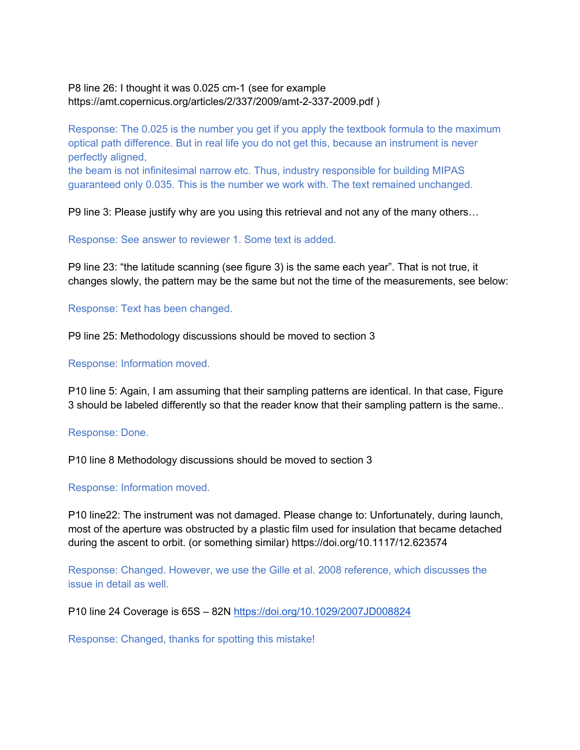# P8 line 26: I thought it was 0.025 cm-1 (see for example https://amt.copernicus.org/articles/2/337/2009/amt-2-337-2009.pdf )

Response: The 0.025 is the number you get if you apply the textbook formula to the maximum optical path difference. But in real life you do not get this, because an instrument is never perfectly aligned,

the beam is not infinitesimal narrow etc. Thus, industry responsible for building MIPAS guaranteed only 0.035. This is the number we work with. The text remained unchanged.

P9 line 3: Please justify why are you using this retrieval and not any of the many others…

Response: See answer to reviewer 1. Some text is added.

P9 line 23: "the latitude scanning (see figure 3) is the same each year". That is not true, it changes slowly, the pattern may be the same but not the time of the measurements, see below:

Response: Text has been changed.

P9 line 25: Methodology discussions should be moved to section 3

Response: Information moved.

P10 line 5: Again, I am assuming that their sampling patterns are identical. In that case, Figure 3 should be labeled differently so that the reader know that their sampling pattern is the same..

Response: Done.

P10 line 8 Methodology discussions should be moved to section 3

Response: Information moved.

P10 line22: The instrument was not damaged. Please change to: Unfortunately, during launch, most of the aperture was obstructed by a plastic film used for insulation that became detached during the ascent to orbit. (or something similar) https://doi.org/10.1117/12.623574

Response: Changed. However, we use the Gille et al. 2008 reference, which discusses the issue in detail as well.

P10 line 24 Coverage is 65S – 82N https://doi.org/10.1029/2007JD008824

Response: Changed, thanks for spotting this mistake!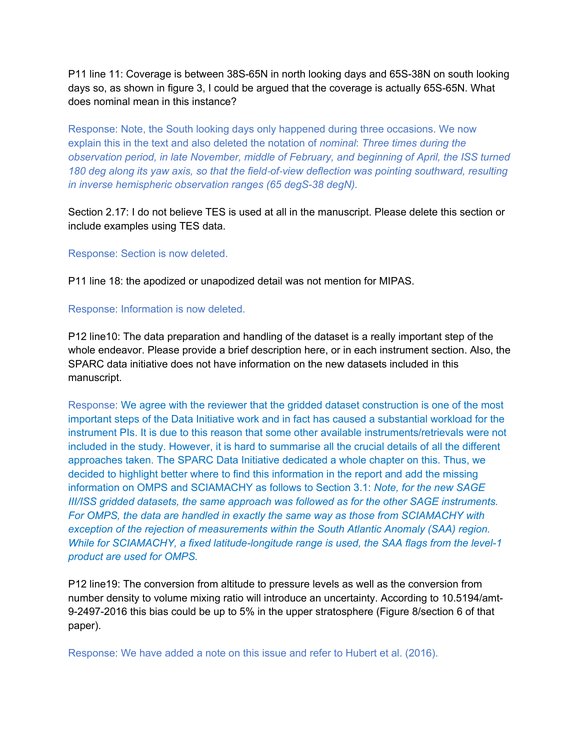P11 line 11: Coverage is between 38S-65N in north looking days and 65S-38N on south looking days so, as shown in figure 3, I could be argued that the coverage is actually 65S-65N. What does nominal mean in this instance?

Response: Note, the South looking days only happened during three occasions. We now explain this in the text and also deleted the notation of *nominal*: *Three times during the observation period, in late November, middle of February, and beginning of April, the ISS turned 180 deg along its yaw axis, so that the field*-*of*-*view deflection was pointing southward, resulting in inverse hemispheric observation ranges (65 degS-38 degN).*

Section 2.17: I do not believe TES is used at all in the manuscript. Please delete this section or include examples using TES data.

#### Response: Section is now deleted.

P11 line 18: the apodized or unapodized detail was not mention for MIPAS.

### Response: Information is now deleted.

P12 line10: The data preparation and handling of the dataset is a really important step of the whole endeavor. Please provide a brief description here, or in each instrument section. Also, the SPARC data initiative does not have information on the new datasets included in this manuscript.

Response: We agree with the reviewer that the gridded dataset construction is one of the most important steps of the Data Initiative work and in fact has caused a substantial workload for the instrument PIs. It is due to this reason that some other available instruments/retrievals were not included in the study. However, it is hard to summarise all the crucial details of all the different approaches taken. The SPARC Data Initiative dedicated a whole chapter on this. Thus, we decided to highlight better where to find this information in the report and add the missing information on OMPS and SCIAMACHY as follows to Section 3.1: *Note, for the new SAGE III/ISS gridded datasets, the same approach was followed as for the other SAGE instruments. For OMPS, the data are handled in exactly the same way as those from SCIAMACHY with exception of the rejection of measurements within the South Atlantic Anomaly (SAA) region. While for SCIAMACHY, a fixed latitude-longitude range is used, the SAA flags from the level-1 product are used for OMPS.*

P12 line19: The conversion from altitude to pressure levels as well as the conversion from number density to volume mixing ratio will introduce an uncertainty. According to 10.5194/amt-9-2497-2016 this bias could be up to 5% in the upper stratosphere (Figure 8/section 6 of that paper).

Response: We have added a note on this issue and refer to Hubert et al. (2016).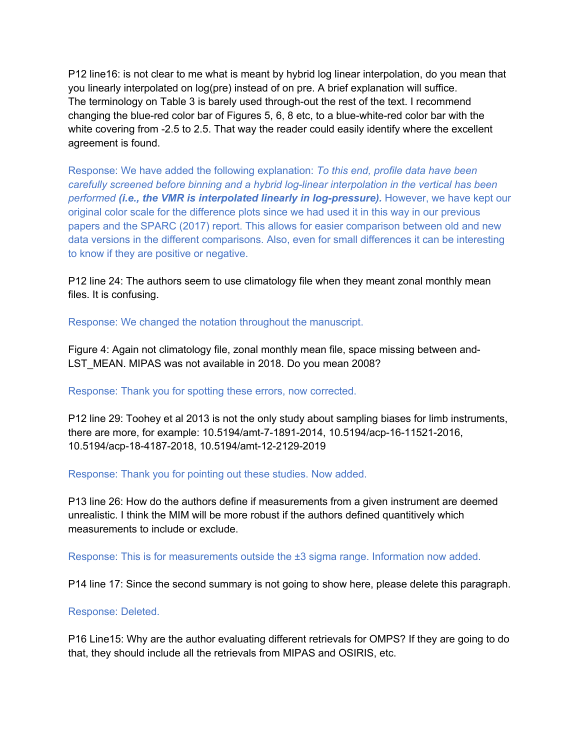P12 line16: is not clear to me what is meant by hybrid log linear interpolation, do you mean that you linearly interpolated on log(pre) instead of on pre. A brief explanation will suffice. The terminology on Table 3 is barely used through-out the rest of the text. I recommend changing the blue-red color bar of Figures 5, 6, 8 etc, to a blue-white-red color bar with the white covering from -2.5 to 2.5. That way the reader could easily identify where the excellent agreement is found.

Response: We have added the following explanation: *To this end, profile data have been carefully screened before binning and a hybrid log-linear interpolation in the vertical has been performed (i.e., the VMR is interpolated linearly in log-pressure).* However, we have kept our original color scale for the difference plots since we had used it in this way in our previous papers and the SPARC (2017) report. This allows for easier comparison between old and new data versions in the different comparisons. Also, even for small differences it can be interesting to know if they are positive or negative.

P12 line 24: The authors seem to use climatology file when they meant zonal monthly mean files. It is confusing.

Response: We changed the notation throughout the manuscript.

Figure 4: Again not climatology file, zonal monthly mean file, space missing between and-LST\_MEAN. MIPAS was not available in 2018. Do you mean 2008?

# Response: Thank you for spotting these errors, now corrected.

P12 line 29: Toohey et al 2013 is not the only study about sampling biases for limb instruments, there are more, for example: 10.5194/amt-7-1891-2014, 10.5194/acp-16-11521-2016, 10.5194/acp-18-4187-2018, 10.5194/amt-12-2129-2019

Response: Thank you for pointing out these studies. Now added.

P13 line 26: How do the authors define if measurements from a given instrument are deemed unrealistic. I think the MIM will be more robust if the authors defined quantitively which measurements to include or exclude.

Response: This is for measurements outside the ±3 sigma range. Information now added.

P14 line 17: Since the second summary is not going to show here, please delete this paragraph.

# Response: Deleted.

P16 Line15: Why are the author evaluating different retrievals for OMPS? If they are going to do that, they should include all the retrievals from MIPAS and OSIRIS, etc.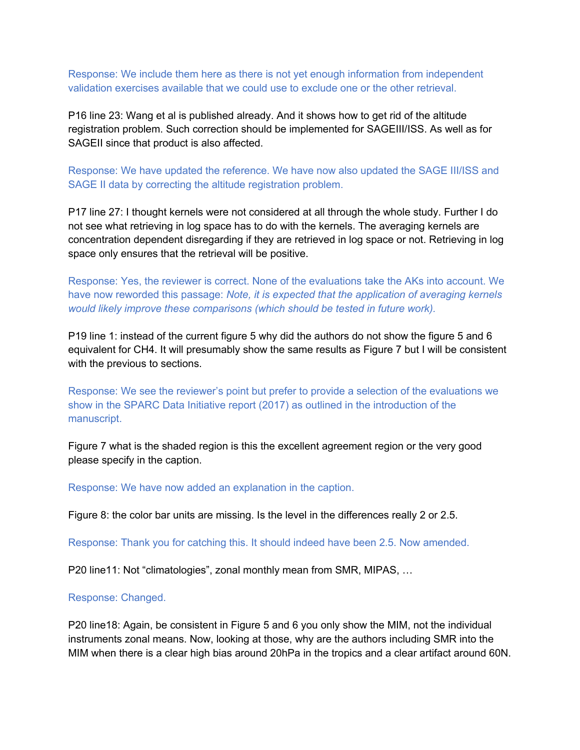Response: We include them here as there is not yet enough information from independent validation exercises available that we could use to exclude one or the other retrieval.

P16 line 23: Wang et al is published already. And it shows how to get rid of the altitude registration problem. Such correction should be implemented for SAGEIII/ISS. As well as for SAGEII since that product is also affected.

Response: We have updated the reference. We have now also updated the SAGE III/ISS and SAGE II data by correcting the altitude registration problem.

P17 line 27: I thought kernels were not considered at all through the whole study. Further I do not see what retrieving in log space has to do with the kernels. The averaging kernels are concentration dependent disregarding if they are retrieved in log space or not. Retrieving in log space only ensures that the retrieval will be positive.

Response: Yes, the reviewer is correct. None of the evaluations take the AKs into account. We have now reworded this passage: *Note, it is expected that the application of averaging kernels would likely improve these comparisons (which should be tested in future work).* 

P19 line 1: instead of the current figure 5 why did the authors do not show the figure 5 and 6 equivalent for CH4. It will presumably show the same results as Figure 7 but I will be consistent with the previous to sections.

Response: We see the reviewer's point but prefer to provide a selection of the evaluations we show in the SPARC Data Initiative report (2017) as outlined in the introduction of the manuscript.

Figure 7 what is the shaded region is this the excellent agreement region or the very good please specify in the caption.

Response: We have now added an explanation in the caption.

Figure 8: the color bar units are missing. Is the level in the differences really 2 or 2.5.

Response: Thank you for catching this. It should indeed have been 2.5. Now amended.

P20 line11: Not "climatologies", zonal monthly mean from SMR, MIPAS, …

#### Response: Changed.

P20 line18: Again, be consistent in Figure 5 and 6 you only show the MIM, not the individual instruments zonal means. Now, looking at those, why are the authors including SMR into the MIM when there is a clear high bias around 20hPa in the tropics and a clear artifact around 60N.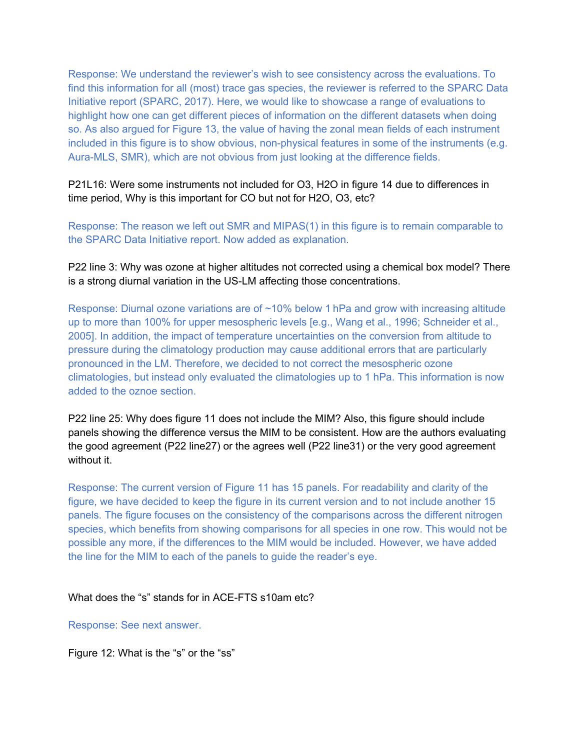Response: We understand the reviewer's wish to see consistency across the evaluations. To find this information for all (most) trace gas species, the reviewer is referred to the SPARC Data Initiative report (SPARC, 2017). Here, we would like to showcase a range of evaluations to highlight how one can get different pieces of information on the different datasets when doing so. As also argued for Figure 13, the value of having the zonal mean fields of each instrument included in this figure is to show obvious, non-physical features in some of the instruments (e.g. Aura-MLS, SMR), which are not obvious from just looking at the difference fields.

P21L16: Were some instruments not included for O3, H2O in figure 14 due to differences in time period, Why is this important for CO but not for H2O, O3, etc?

Response: The reason we left out SMR and MIPAS(1) in this figure is to remain comparable to the SPARC Data Initiative report. Now added as explanation.

P22 line 3: Why was ozone at higher altitudes not corrected using a chemical box model? There is a strong diurnal variation in the US-LM affecting those concentrations.

Response: Diurnal ozone variations are of ~10% below 1 hPa and grow with increasing altitude up to more than 100% for upper mesospheric levels [e.g., Wang et al., 1996; Schneider et al., 2005]. In addition, the impact of temperature uncertainties on the conversion from altitude to pressure during the climatology production may cause additional errors that are particularly pronounced in the LM. Therefore, we decided to not correct the mesospheric ozone climatologies, but instead only evaluated the climatologies up to 1 hPa. This information is now added to the oznoe section.

P22 line 25: Why does figure 11 does not include the MIM? Also, this figure should include panels showing the difference versus the MIM to be consistent. How are the authors evaluating the good agreement (P22 line27) or the agrees well (P22 line31) or the very good agreement without it.

Response: The current version of Figure 11 has 15 panels. For readability and clarity of the figure, we have decided to keep the figure in its current version and to not include another 15 panels. The figure focuses on the consistency of the comparisons across the different nitrogen species, which benefits from showing comparisons for all species in one row. This would not be possible any more, if the differences to the MIM would be included. However, we have added the line for the MIM to each of the panels to guide the reader's eye.

#### What does the "s" stands for in ACE-FTS s10am etc?

Response: See next answer.

Figure 12: What is the "s" or the "ss"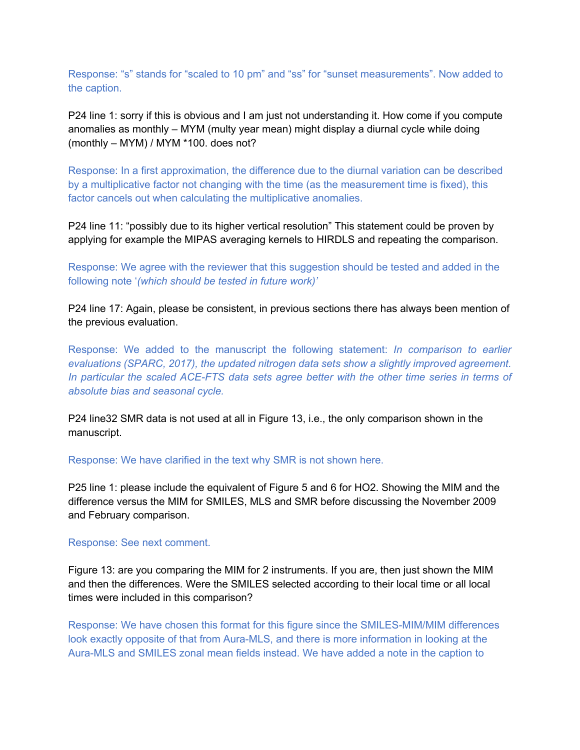Response: "s" stands for "scaled to 10 pm" and "ss" for "sunset measurements". Now added to the caption.

P24 line 1: sorry if this is obvious and I am just not understanding it. How come if you compute anomalies as monthly – MYM (multy year mean) might display a diurnal cycle while doing (monthly – MYM) / MYM \*100. does not?

Response: In a first approximation, the difference due to the diurnal variation can be described by a multiplicative factor not changing with the time (as the measurement time is fixed), this factor cancels out when calculating the multiplicative anomalies.

P24 line 11: "possibly due to its higher vertical resolution" This statement could be proven by applying for example the MIPAS averaging kernels to HIRDLS and repeating the comparison.

Response: We agree with the reviewer that this suggestion should be tested and added in the following note '*(which should be tested in future work)'*

P24 line 17: Again, please be consistent, in previous sections there has always been mention of the previous evaluation.

Response: We added to the manuscript the following statement: *In comparison to earlier evaluations (SPARC, 2017), the updated nitrogen data sets show a slightly improved agreement. In particular the scaled ACE-FTS data sets agree better with the other time series in terms of absolute bias and seasonal cycle.*

P24 line32 SMR data is not used at all in Figure 13, i.e., the only comparison shown in the manuscript.

Response: We have clarified in the text why SMR is not shown here.

P25 line 1: please include the equivalent of Figure 5 and 6 for HO2. Showing the MIM and the difference versus the MIM for SMILES, MLS and SMR before discussing the November 2009 and February comparison.

#### Response: See next comment.

Figure 13: are you comparing the MIM for 2 instruments. If you are, then just shown the MIM and then the differences. Were the SMILES selected according to their local time or all local times were included in this comparison?

Response: We have chosen this format for this figure since the SMILES-MIM/MIM differences look exactly opposite of that from Aura-MLS, and there is more information in looking at the Aura-MLS and SMILES zonal mean fields instead. We have added a note in the caption to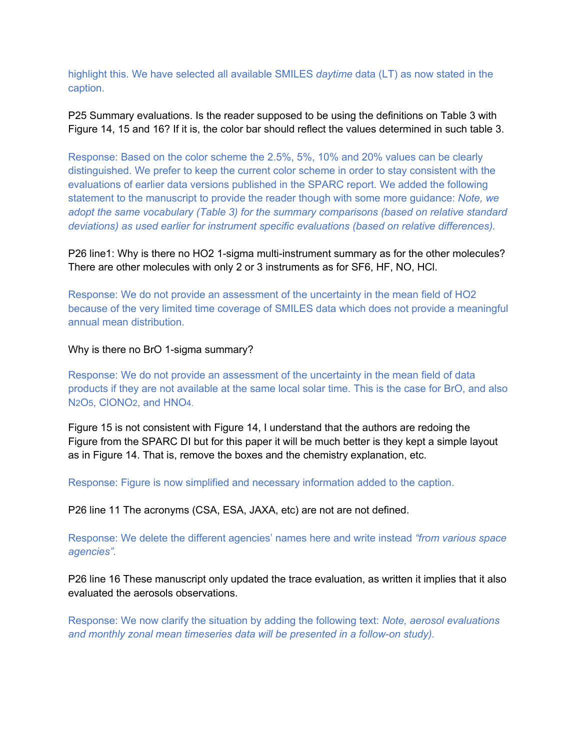highlight this. We have selected all available SMILES *daytime* data (LT) as now stated in the caption.

P25 Summary evaluations. Is the reader supposed to be using the definitions on Table 3 with Figure 14, 15 and 16? If it is, the color bar should reflect the values determined in such table 3.

Response: Based on the color scheme the 2.5%, 5%, 10% and 20% values can be clearly distinguished. We prefer to keep the current color scheme in order to stay consistent with the evaluations of earlier data versions published in the SPARC report. We added the following statement to the manuscript to provide the reader though with some more guidance: *Note, we adopt the same vocabulary (Table 3) for the summary comparisons (based on relative standard deviations) as used earlier for instrument specific evaluations (based on relative differences).*

P26 line1: Why is there no HO2 1-sigma multi-instrument summary as for the other molecules? There are other molecules with only 2 or 3 instruments as for SF6, HF, NO, HCl.

Response: We do not provide an assessment of the uncertainty in the mean field of HO2 because of the very limited time coverage of SMILES data which does not provide a meaningful annual mean distribution.

Why is there no BrO 1-sigma summary?

Response: We do not provide an assessment of the uncertainty in the mean field of data products if they are not available at the same local solar time. This is the case for BrO, and also N2O5, ClONO2, and HNO4.

Figure 15 is not consistent with Figure 14, I understand that the authors are redoing the Figure from the SPARC DI but for this paper it will be much better is they kept a simple layout as in Figure 14. That is, remove the boxes and the chemistry explanation, etc.

Response: Figure is now simplified and necessary information added to the caption.

P26 line 11 The acronyms (CSA, ESA, JAXA, etc) are not are not defined.

Response: We delete the different agencies' names here and write instead *"from various space agencies".*

P26 line 16 These manuscript only updated the trace evaluation, as written it implies that it also evaluated the aerosols observations.

Response: We now clarify the situation by adding the following text: *Note, aerosol evaluations and monthly zonal mean timeseries data will be presented in a follow-on study).*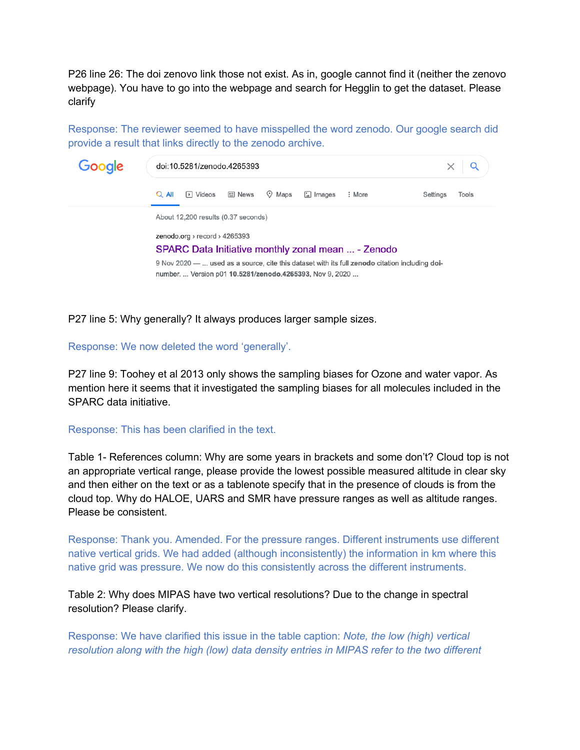P26 line 26: The doi zenovo link those not exist. As in, google cannot find it (neither the zenovo webpage). You have to go into the webpage and search for Hegglin to get the dataset. Please clarify

Response: The reviewer seemed to have misspelled the word zenodo. Our google search did provide a result that links directly to the zenodo archive.



P27 line 5: Why generally? It always produces larger sample sizes.

Response: We now deleted the word 'generally'.

P27 line 9: Toohey et al 2013 only shows the sampling biases for Ozone and water vapor. As mention here it seems that it investigated the sampling biases for all molecules included in the SPARC data initiative.

#### Response: This has been clarified in the text.

Table 1- References column: Why are some years in brackets and some don't? Cloud top is not an appropriate vertical range, please provide the lowest possible measured altitude in clear sky and then either on the text or as a tablenote specify that in the presence of clouds is from the cloud top. Why do HALOE, UARS and SMR have pressure ranges as well as altitude ranges. Please be consistent.

Response: Thank you. Amended. For the pressure ranges. Different instruments use different native vertical grids. We had added (although inconsistently) the information in km where this native grid was pressure. We now do this consistently across the different instruments.

Table 2: Why does MIPAS have two vertical resolutions? Due to the change in spectral resolution? Please clarify.

Response: We have clarified this issue in the table caption: *Note, the low (high) vertical resolution along with the high (low) data density entries in MIPAS refer to the two different*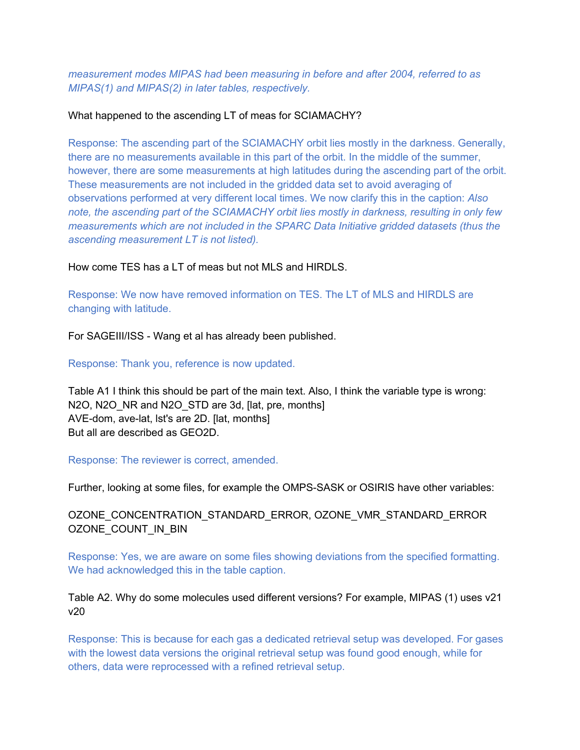*measurement modes MIPAS had been measuring in before and after 2004, referred to as MIPAS(1) and MIPAS(2) in later tables, respectively.*

### What happened to the ascending LT of meas for SCIAMACHY?

Response: The ascending part of the SCIAMACHY orbit lies mostly in the darkness. Generally, there are no measurements available in this part of the orbit. In the middle of the summer, however, there are some measurements at high latitudes during the ascending part of the orbit. These measurements are not included in the gridded data set to avoid averaging of observations performed at very different local times. We now clarify this in the caption: *Also note, the ascending part of the SCIAMACHY orbit lies mostly in darkness, resulting in only few measurements which are not included in the SPARC Data Initiative gridded datasets (thus the ascending measurement LT is not listed).*

How come TES has a LT of meas but not MLS and HIRDLS.

Response: We now have removed information on TES. The LT of MLS and HIRDLS are changing with latitude.

For SAGEIII/ISS - Wang et al has already been published.

Response: Thank you, reference is now updated.

Table A1 I think this should be part of the main text. Also, I think the variable type is wrong: N2O, N2O NR and N2O STD are 3d, [lat, pre, months] AVE-dom, ave-lat, lst's are 2D. [lat, months] But all are described as GEO2D.

Response: The reviewer is correct, amended.

Further, looking at some files, for example the OMPS-SASK or OSIRIS have other variables:

# OZONE\_CONCENTRATION\_STANDARD\_ERROR, OZONE\_VMR\_STANDARD\_ERROR OZONE\_COUNT\_IN\_BIN

Response: Yes, we are aware on some files showing deviations from the specified formatting. We had acknowledged this in the table caption.

# Table A2. Why do some molecules used different versions? For example, MIPAS (1) uses v21 v20

Response: This is because for each gas a dedicated retrieval setup was developed. For gases with the lowest data versions the original retrieval setup was found good enough, while for others, data were reprocessed with a refined retrieval setup.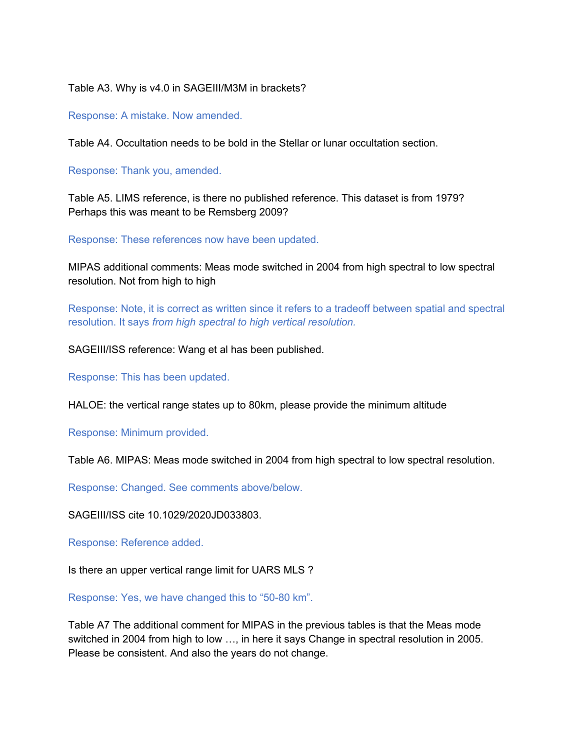Table A3. Why is v4.0 in SAGEIII/M3M in brackets?

Response: A mistake. Now amended.

Table A4. Occultation needs to be bold in the Stellar or lunar occultation section.

Response: Thank you, amended.

Table A5. LIMS reference, is there no published reference. This dataset is from 1979? Perhaps this was meant to be Remsberg 2009?

Response: These references now have been updated.

MIPAS additional comments: Meas mode switched in 2004 from high spectral to low spectral resolution. Not from high to high

Response: Note, it is correct as written since it refers to a tradeoff between spatial and spectral resolution. It says *from high spectral to high vertical resolution.*

SAGEIII/ISS reference: Wang et al has been published.

Response: This has been updated.

HALOE: the vertical range states up to 80km, please provide the minimum altitude

Response: Minimum provided.

Table A6. MIPAS: Meas mode switched in 2004 from high spectral to low spectral resolution.

Response: Changed. See comments above/below.

SAGEIII/ISS cite 10.1029/2020JD033803.

Response: Reference added.

Is there an upper vertical range limit for UARS MLS ?

Response: Yes, we have changed this to "50-80 km".

Table A7 The additional comment for MIPAS in the previous tables is that the Meas mode switched in 2004 from high to low …, in here it says Change in spectral resolution in 2005. Please be consistent. And also the years do not change.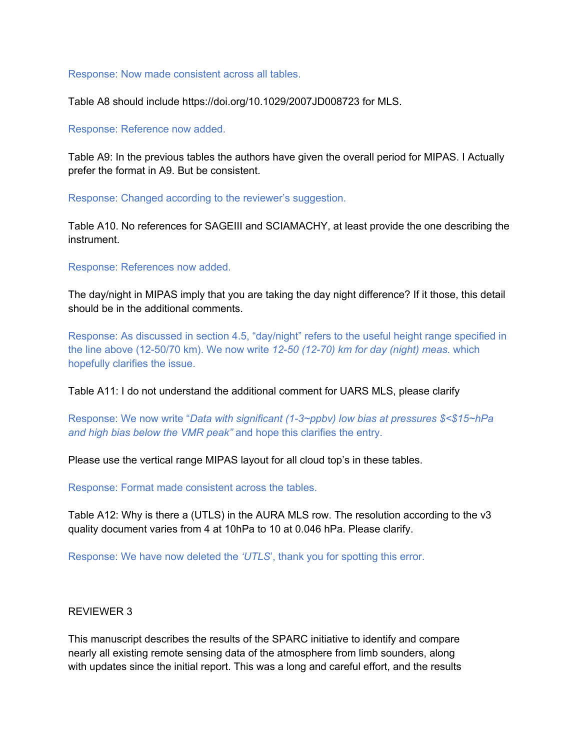#### Response: Now made consistent across all tables.

Table A8 should include https://doi.org/10.1029/2007JD008723 for MLS.

#### Response: Reference now added.

Table A9: In the previous tables the authors have given the overall period for MIPAS. I Actually prefer the format in A9. But be consistent.

Response: Changed according to the reviewer's suggestion.

Table A10. No references for SAGEIII and SCIAMACHY, at least provide the one describing the instrument.

Response: References now added.

The day/night in MIPAS imply that you are taking the day night difference? If it those, this detail should be in the additional comments.

Response: As discussed in section 4.5, "day/night" refers to the useful height range specified in the line above (12-50/70 km). We now write *12-50 (12-70) km for day (night) meas.* which hopefully clarifies the issue.

Table A11: I do not understand the additional comment for UARS MLS, please clarify

Response: We now write "*Data with significant (1-3~ppbv) low bias at pressures \$<\$15~hPa and high bias below the VMR peak"* and hope this clarifies the entry.

Please use the vertical range MIPAS layout for all cloud top's in these tables.

Response: Format made consistent across the tables.

Table A12: Why is there a (UTLS) in the AURA MLS row. The resolution according to the v3 quality document varies from 4 at 10hPa to 10 at 0.046 hPa. Please clarify.

Response: We have now deleted the *'UTLS*', thank you for spotting this error.

#### REVIEWER 3

This manuscript describes the results of the SPARC initiative to identify and compare nearly all existing remote sensing data of the atmosphere from limb sounders, along with updates since the initial report. This was a long and careful effort, and the results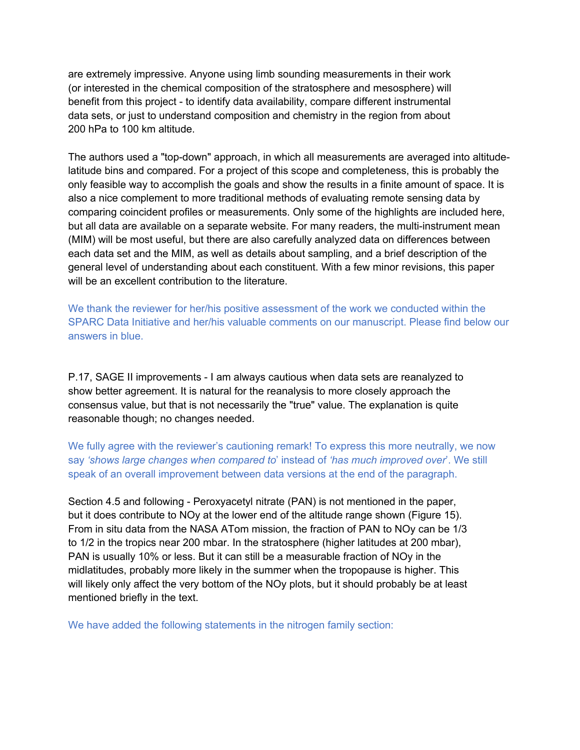are extremely impressive. Anyone using limb sounding measurements in their work (or interested in the chemical composition of the stratosphere and mesosphere) will benefit from this project - to identify data availability, compare different instrumental data sets, or just to understand composition and chemistry in the region from about 200 hPa to 100 km altitude.

The authors used a "top-down" approach, in which all measurements are averaged into altitudelatitude bins and compared. For a project of this scope and completeness, this is probably the only feasible way to accomplish the goals and show the results in a finite amount of space. It is also a nice complement to more traditional methods of evaluating remote sensing data by comparing coincident profiles or measurements. Only some of the highlights are included here, but all data are available on a separate website. For many readers, the multi-instrument mean (MIM) will be most useful, but there are also carefully analyzed data on differences between each data set and the MIM, as well as details about sampling, and a brief description of the general level of understanding about each constituent. With a few minor revisions, this paper will be an excellent contribution to the literature.

We thank the reviewer for her/his positive assessment of the work we conducted within the SPARC Data Initiative and her/his valuable comments on our manuscript. Please find below our answers in blue.

P.17, SAGE II improvements - I am always cautious when data sets are reanalyzed to show better agreement. It is natural for the reanalysis to more closely approach the consensus value, but that is not necessarily the "true" value. The explanation is quite reasonable though; no changes needed.

We fully agree with the reviewer's cautioning remark! To express this more neutrally, we now say *'shows large changes when compared to*' instead of *'has much improved over*'. We still speak of an overall improvement between data versions at the end of the paragraph.

Section 4.5 and following - Peroxyacetyl nitrate (PAN) is not mentioned in the paper, but it does contribute to NOy at the lower end of the altitude range shown (Figure 15). From in situ data from the NASA ATom mission, the fraction of PAN to NOy can be 1/3 to 1/2 in the tropics near 200 mbar. In the stratosphere (higher latitudes at 200 mbar), PAN is usually 10% or less. But it can still be a measurable fraction of NOy in the midlatitudes, probably more likely in the summer when the tropopause is higher. This will likely only affect the very bottom of the NOy plots, but it should probably be at least mentioned briefly in the text.

We have added the following statements in the nitrogen family section: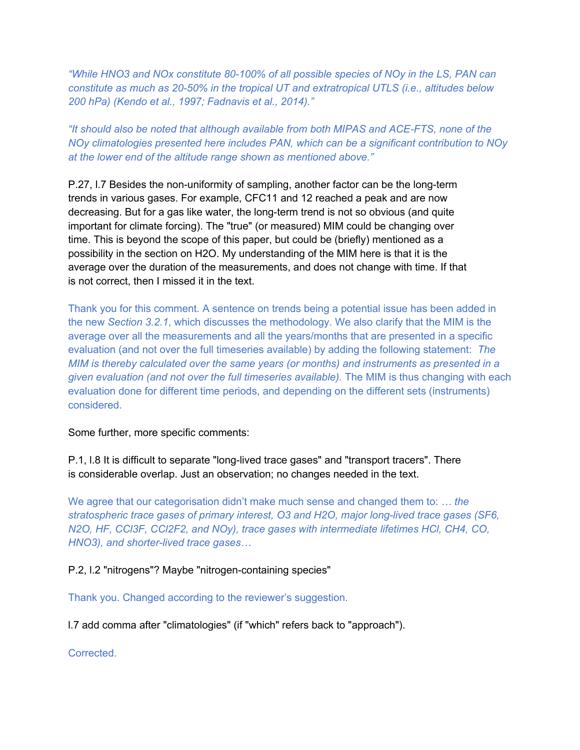*"While HNO3 and NOx constitute 80-100% of all possible species of NOy in the LS, PAN can constitute as much as 20-50% in the tropical UT and extratropical UTLS (i.e., altitudes below 200 hPa) (Kendo et al., 1997; Fadnavis et al., 2014)."*

*"It should also be noted that although available from both MIPAS and ACE-FTS, none of the NOy climatologies presented here includes PAN, which can be a significant contribution to NOy at the lower end of the altitude range shown as mentioned above."*

P.27, l.7 Besides the non-uniformity of sampling, another factor can be the long-term trends in various gases. For example, CFC11 and 12 reached a peak and are now decreasing. But for a gas like water, the long-term trend is not so obvious (and quite important for climate forcing). The "true" (or measured) MIM could be changing over time. This is beyond the scope of this paper, but could be (briefly) mentioned as a possibility in the section on H2O. My understanding of the MIM here is that it is the average over the duration of the measurements, and does not change with time. If that is not correct, then I missed it in the text.

Thank you for this comment. A sentence on trends being a potential issue has been added in the new *Section 3.2.1*, which discusses the methodology. We also clarify that the MIM is the average over all the measurements and all the years/months that are presented in a specific evaluation (and not over the full timeseries available) by adding the following statement: *The MIM is thereby calculated over the same years (or months) and instruments as presented in a given evaluation (and not over the full timeseries available).* The MIM is thus changing with each evaluation done for different time periods, and depending on the different sets (instruments) considered.

Some further, more specific comments:

P.1, l.8 It is difficult to separate "long-lived trace gases" and "transport tracers". There is considerable overlap. Just an observation; no changes needed in the text.

We agree that our categorisation didn't make much sense and changed them to: *… the stratospheric trace gases of primary interest, O3 and H2O, major long-lived trace gases (SF6, N2O, HF, CCl3F, CCl2F2, and NOy), trace gases with intermediate lifetimes HCl, CH4, CO, HNO3), and shorter-lived trace gases…*

P.2, l.2 "nitrogens"? Maybe "nitrogen-containing species"

Thank you. Changed according to the reviewer's suggestion.

l.7 add comma after "climatologies" (if "which" refers back to "approach").

**Corrected**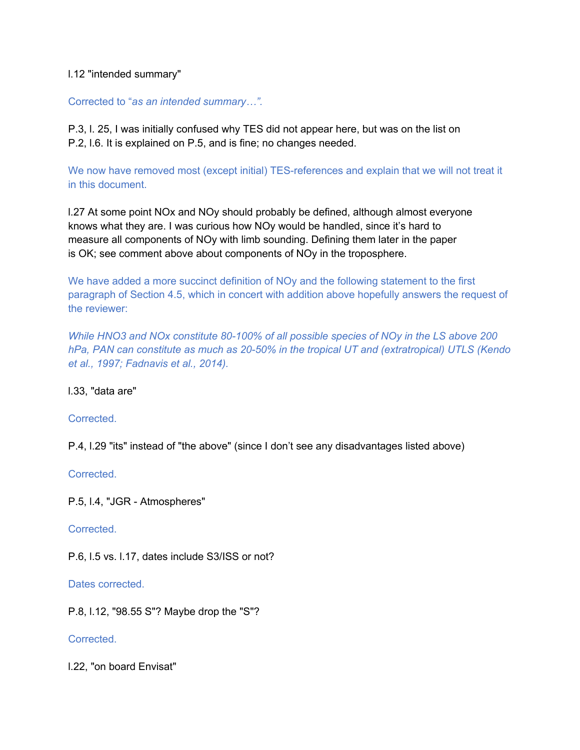# l.12 "intended summary"

# Corrected to "*as an intended summary…".*

P.3, l. 25, I was initially confused why TES did not appear here, but was on the list on P.2, l.6. It is explained on P.5, and is fine; no changes needed.

We now have removed most (except initial) TES-references and explain that we will not treat it in this document.

l.27 At some point NOx and NOy should probably be defined, although almost everyone knows what they are. I was curious how NOy would be handled, since it's hard to measure all components of NOy with limb sounding. Defining them later in the paper is OK; see comment above about components of NOy in the troposphere.

We have added a more succinct definition of NOy and the following statement to the first paragraph of Section 4.5, which in concert with addition above hopefully answers the request of the reviewer:

*While HNO3 and NOx constitute 80-100% of all possible species of NOy in the LS above 200 hPa, PAN can constitute as much as 20-50% in the tropical UT and (extratropical) UTLS (Kendo et al., 1997; Fadnavis et al., 2014).*

# l.33, "data are"

# **Corrected**

P.4, l.29 "its" instead of "the above" (since I don't see any disadvantages listed above)

**Corrected** 

P.5, l.4, "JGR - Atmospheres"

Corrected.

P.6, l.5 vs. l.17, dates include S3/ISS or not?

Dates corrected.

P.8, l.12, "98.55 S"? Maybe drop the "S"?

Corrected.

l.22, "on board Envisat"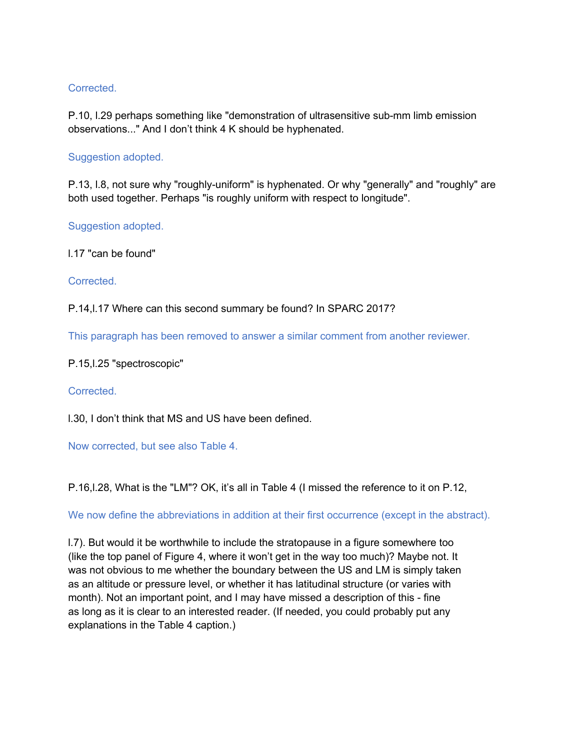# **Corrected**

P.10, l.29 perhaps something like "demonstration of ultrasensitive sub-mm limb emission observations..." And I don't think 4 K should be hyphenated.

# Suggestion adopted.

P.13, l.8, not sure why "roughly-uniform" is hyphenated. Or why "generally" and "roughly" are both used together. Perhaps "is roughly uniform with respect to longitude".

Suggestion adopted.

l.17 "can be found"

Corrected.

P.14,l.17 Where can this second summary be found? In SPARC 2017?

This paragraph has been removed to answer a similar comment from another reviewer.

P.15,l.25 "spectroscopic"

Corrected.

l.30, I don't think that MS and US have been defined.

Now corrected, but see also Table 4.

P.16,l.28, What is the "LM"? OK, it's all in Table 4 (I missed the reference to it on P.12,

We now define the abbreviations in addition at their first occurrence (except in the abstract).

l.7). But would it be worthwhile to include the stratopause in a figure somewhere too (like the top panel of Figure 4, where it won't get in the way too much)? Maybe not. It was not obvious to me whether the boundary between the US and LM is simply taken as an altitude or pressure level, or whether it has latitudinal structure (or varies with month). Not an important point, and I may have missed a description of this - fine as long as it is clear to an interested reader. (If needed, you could probably put any explanations in the Table 4 caption.)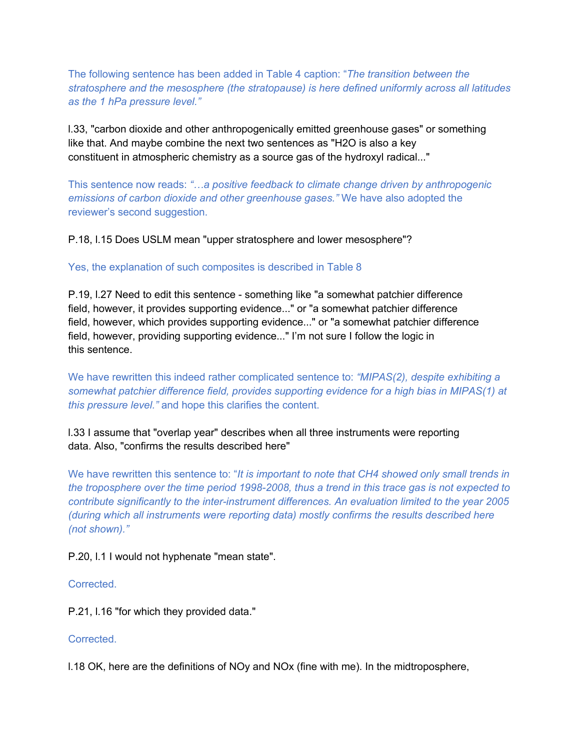The following sentence has been added in Table 4 caption: "*The transition between the stratosphere and the mesosphere (the stratopause) is here defined uniformly across all latitudes as the 1 hPa pressure level."*

l.33, "carbon dioxide and other anthropogenically emitted greenhouse gases" or something like that. And maybe combine the next two sentences as "H2O is also a key constituent in atmospheric chemistry as a source gas of the hydroxyl radical..."

This sentence now reads: *"…a positive feedback to climate change driven by anthropogenic emissions of carbon dioxide and other greenhouse gases."* We have also adopted the reviewer's second suggestion.

# P.18, l.15 Does USLM mean "upper stratosphere and lower mesosphere"?

# Yes, the explanation of such composites is described in Table 8

P.19, l.27 Need to edit this sentence - something like "a somewhat patchier difference field, however, it provides supporting evidence..." or "a somewhat patchier difference field, however, which provides supporting evidence..." or "a somewhat patchier difference field, however, providing supporting evidence..." I'm not sure I follow the logic in this sentence.

We have rewritten this indeed rather complicated sentence to: *"MIPAS(2), despite exhibiting a somewhat patchier difference field, provides supporting evidence for a high bias in MIPAS(1) at this pressure level."* and hope this clarifies the content.

# l.33 I assume that "overlap year" describes when all three instruments were reporting data. Also, "confirms the results described here"

We have rewritten this sentence to: "*It is important to note that CH4 showed only small trends in the troposphere over the time period 1998-2008, thus a trend in this trace gas is not expected to contribute significantly to the inter-instrument differences. An evaluation limited to the year 2005 (during which all instruments were reporting data) mostly confirms the results described here (not shown)."*

# P.20, l.1 I would not hyphenate "mean state".

# Corrected.

P.21, l.16 "for which they provided data."

# Corrected.

l.18 OK, here are the definitions of NOy and NOx (fine with me). In the midtroposphere,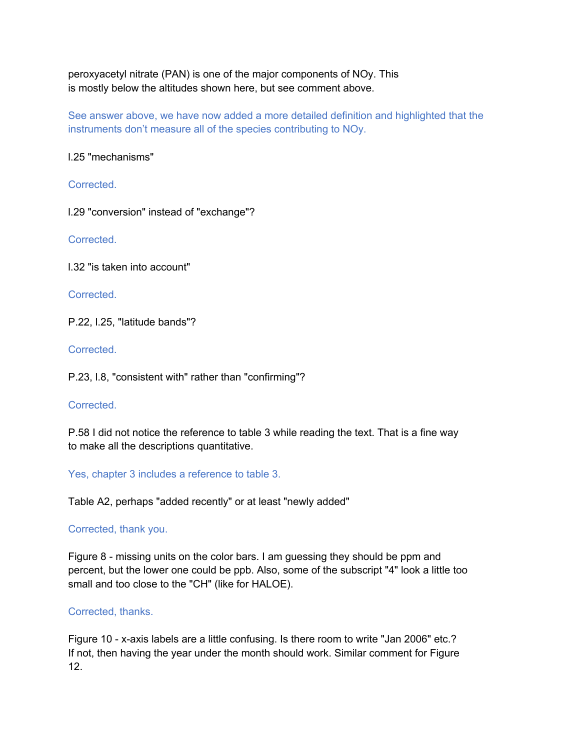peroxyacetyl nitrate (PAN) is one of the major components of NOy. This is mostly below the altitudes shown here, but see comment above.

See answer above, we have now added a more detailed definition and highlighted that the instruments don't measure all of the species contributing to NOy.

l.25 "mechanisms"

Corrected.

l.29 "conversion" instead of "exchange"?

Corrected.

l.32 "is taken into account"

Corrected.

P.22, l.25, "latitude bands"?

Corrected.

P.23, l.8, "consistent with" rather than "confirming"?

**Corrected** 

P.58 I did not notice the reference to table 3 while reading the text. That is a fine way to make all the descriptions quantitative.

Yes, chapter 3 includes a reference to table 3.

Table A2, perhaps "added recently" or at least "newly added"

# Corrected, thank you.

Figure 8 - missing units on the color bars. I am guessing they should be ppm and percent, but the lower one could be ppb. Also, some of the subscript "4" look a little too small and too close to the "CH" (like for HALOE).

# Corrected, thanks.

Figure 10 - x-axis labels are a little confusing. Is there room to write "Jan 2006" etc.? If not, then having the year under the month should work. Similar comment for Figure 12.